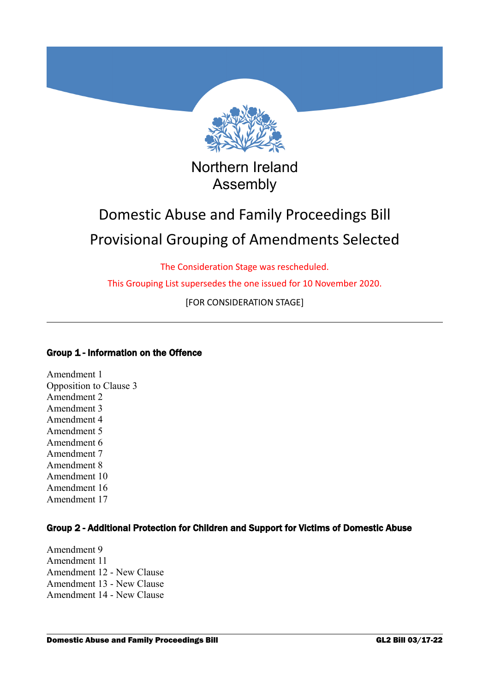

# Northern Ireland Assembly

# Domestic Abuse and Family Proceedings Bill Provisional Grouping of Amendments Selected

The Consideration Stage was rescheduled.

This Grouping List supersedes the one issued for 10 November 2020.

[FOR CONSIDERATION STAGE]

## Group 1 - Information on the Offence

Amendment 1 Opposition to Clause 3 Amendment 2 Amendment 3 Amendment 4 Amendment 5 Amendment 6 Amendment 7 Amendment 8 Amendment 10 Amendment 16 Amendment 17

## Group 2 - Additional Protection for Children and Support for Victims of Domestic Abuse

Amendment 9 Amendment 11 Amendment 12 - New Clause Amendment 13 - New Clause Amendment 14 - New Clause